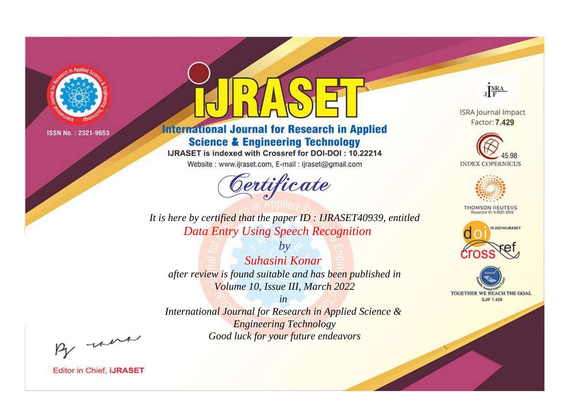

# **International Journal for Research in Applied Science & Engineering Technology**

IJRASET is indexed with Crossref for DOI-DOI: 10.22214

Website: www.ijraset.com, E-mail: ijraset@gmail.com



JERA

**ISRA Journal Impact** Factor: 7.429





**THOMSON REUTERS** 



TOGETHER WE REACH THE GOAL **SJIF 7.429** 

It is here by certified that the paper ID: IJRASET40939, entitled **Data Entry Using Speech Recognition** 

Suhasini Konar after review is found suitable and has been published in Volume 10, Issue III, March 2022

 $b\nu$ 

 $in$ International Journal for Research in Applied Science & **Engineering Technology** Good luck for your future endeavors

By morn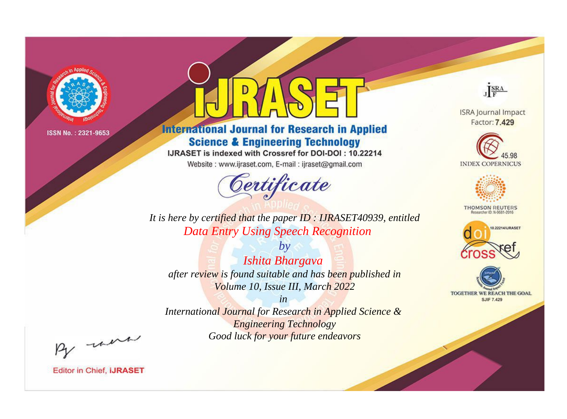

# **International Journal for Research in Applied Science & Engineering Technology**

IJRASET is indexed with Crossref for DOI-DOI: 10.22214

Website: www.ijraset.com, E-mail: ijraset@gmail.com



JERA

**ISRA Journal Impact** Factor: 7.429





**THOMSON REUTERS** 



TOGETHER WE REACH THE GOAL **SJIF 7.429** 

It is here by certified that the paper ID: IJRASET40939, entitled **Data Entry Using Speech Recognition** 

 $b\nu$ Ishita Bhargava after review is found suitable and has been published in Volume 10, Issue III, March 2022

 $in$ International Journal for Research in Applied Science & **Engineering Technology** Good luck for your future endeavors

By morn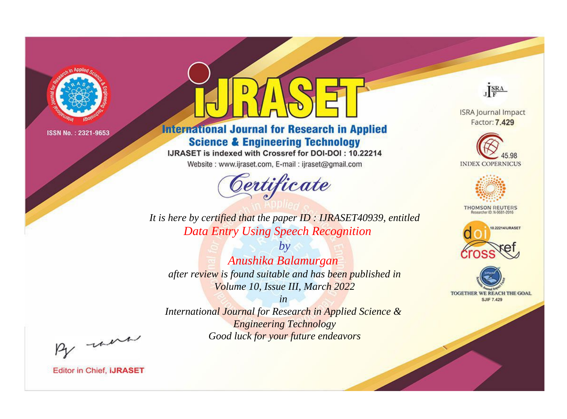

# **International Journal for Research in Applied Science & Engineering Technology**

IJRASET is indexed with Crossref for DOI-DOI: 10.22214

Website: www.ijraset.com, E-mail: ijraset@gmail.com



JERA

**ISRA Journal Impact** Factor: 7.429





**THOMSON REUTERS** 



TOGETHER WE REACH THE GOAL **SJIF 7.429** 

It is here by certified that the paper ID: IJRASET40939, entitled **Data Entry Using Speech Recognition** 

 $b\nu$ Anushika Balamurgan after review is found suitable and has been published in Volume 10, Issue III, March 2022

 $in$ International Journal for Research in Applied Science & **Engineering Technology** Good luck for your future endeavors

By morn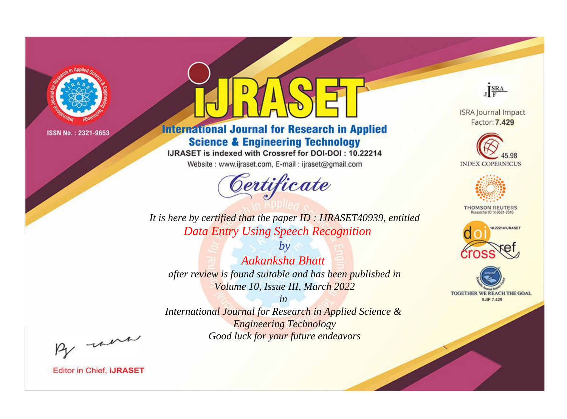

# **International Journal for Research in Applied Science & Engineering Technology**

IJRASET is indexed with Crossref for DOI-DOI: 10.22214

Website: www.ijraset.com, E-mail: ijraset@gmail.com



JERA

**ISRA Journal Impact** Factor: 7.429





**THOMSON REUTERS** 



TOGETHER WE REACH THE GOAL **SJIF 7.429** 

It is here by certified that the paper ID: IJRASET40939, entitled **Data Entry Using Speech Recognition** 

Aakanksha Bhatt after review is found suitable and has been published in Volume 10, Issue III, March 2022

 $b\nu$ 

 $in$ International Journal for Research in Applied Science & **Engineering Technology** Good luck for your future endeavors

By morn